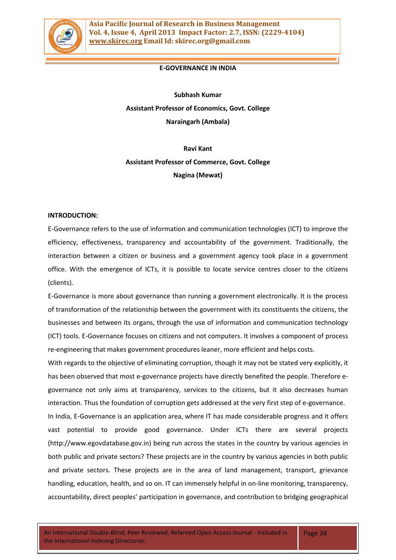

### **E-GOVERNANCE IN INDIA**

**Subhash Kumar Assistant Professor of Economics, Govt. College Naraingarh (Ambala)**

**Ravi Kant Assistant Professor of Commerce, Govt. College Nagina (Mewat)**

#### **INTRODUCTION:**

E-Governance refers to the use of information and communication technologies (ICT) to improve the efficiency, effectiveness, transparency and accountability of the government. Traditionally, the interaction between a citizen or business and a government agency took place in a government office. With the emergence of ICTs, it is possible to locate service centres closer to the citizens (clients).

E-Governance is more about governance than running a government electronically. It is the process of transformation of the relationship between the government with its constituents the citizens, the businesses and between its organs, through the use of information and communication technology (ICT) tools. E-Governance focuses on citizens and not computers. It involves a component of process re-engineering that makes government procedures leaner, more efficient and helps costs.

With regards to the objective of eliminating corruption, though it may not be stated very explicitly, it has been observed that most e-governance projects have directly benefited the people. Therefore egovernance not only aims at transparency, services to the citizens, but it also decreases human interaction. Thus the foundation of corruption gets addressed at the very first step of e-governance.

In India, E-Governance is an application area, where IT has made considerable progress and it offers vast potential to provide good governance. Under ICTs there are several projects (http://www.egovdatabase.gov.in) being run across the states in the country by various agencies in both public and private sectors? These projects are in the country by various agencies in both public and private sectors. These projects are in the area of land management, transport, grievance handling, education, health, and so on. IT can immensely helpful in on-line monitoring, transparency, accountability, direct peoples' participation in governance, and contribution to bridging geographical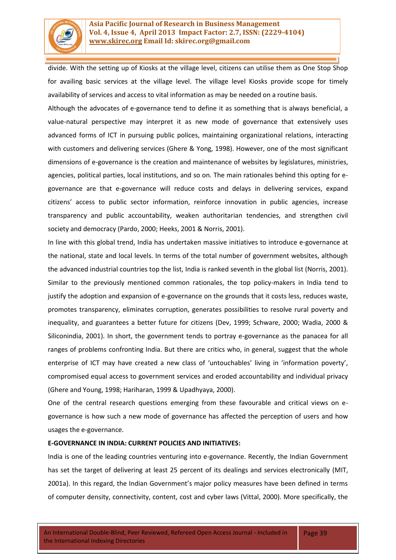

divide. With the setting up of Kiosks at the village level, citizens can utilise them as One Stop Shop for availing basic services at the village level. The village level Kiosks provide scope for timely availability of services and access to vital information as may be needed on a routine basis.

Although the advocates of e-governance tend to define it as something that is always beneficial, a value-natural perspective may interpret it as new mode of governance that extensively uses advanced forms of ICT in pursuing public polices, maintaining organizational relations, interacting with customers and delivering services (Ghere & Yong, 1998). However, one of the most significant dimensions of e-governance is the creation and maintenance of websites by legislatures, ministries, agencies, political parties, local institutions, and so on. The main rationales behind this opting for egovernance are that e-governance will reduce costs and delays in delivering services, expand citizens' access to public sector information, reinforce innovation in public agencies, increase transparency and public accountability, weaken authoritarian tendencies, and strengthen civil society and democracy (Pardo, 2000; Heeks, 2001 & Norris, 2001).

In line with this global trend, India has undertaken massive initiatives to introduce e-governance at the national, state and local levels. In terms of the total number of government websites, although the advanced industrial countries top the list, India is ranked seventh in the global list (Norris, 2001). Similar to the previously mentioned common rationales, the top policy-makers in India tend to justify the adoption and expansion of e-governance on the grounds that it costs less, reduces waste, promotes transparency, eliminates corruption, generates possibilities to resolve rural poverty and inequality, and guarantees a better future for citizens (Dev, 1999; Schware, 2000; Wadia, 2000 & Siliconindia, 2001). In short, the government tends to portray e-governance as the panacea for all ranges of problems confronting India. But there are critics who, in general, suggest that the whole enterprise of ICT may have created a new class of 'untouchables' living in 'information poverty', compromised equal access to government services and eroded accountability and individual privacy (Ghere and Young, 1998; Hariharan, 1999 & Upadhyaya, 2000).

One of the central research questions emerging from these favourable and critical views on egovernance is how such a new mode of governance has affected the perception of users and how usages the e-governance.

#### **E-GOVERNANCE IN INDIA: CURRENT POLICIES AND INITIATIVES:**

India is one of the leading countries venturing into e-governance. Recently, the Indian Government has set the target of delivering at least 25 percent of its dealings and services electronically (MIT, 2001a). In this regard, the Indian Government's major policy measures have been defined in terms of computer density, connectivity, content, cost and cyber laws (Vittal, 2000). More specifically, the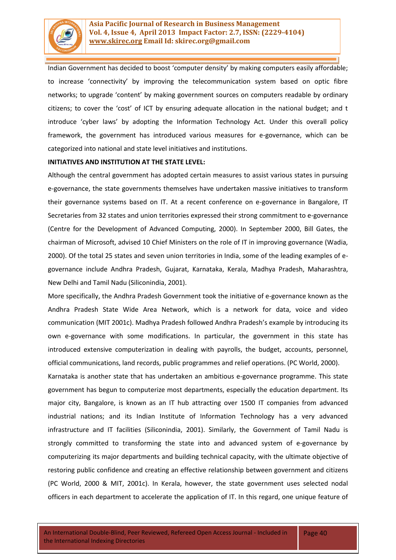

Indian Government has decided to boost 'computer density' by making computers easily affordable; to increase 'connectivity' by improving the telecommunication system based on optic fibre networks; to upgrade 'content' by making government sources on computers readable by ordinary citizens; to cover the 'cost' of ICT by ensuring adequate allocation in the national budget; and t introduce 'cyber laws' by adopting the Information Technology Act. Under this overall policy framework, the government has introduced various measures for e-governance, which can be categorized into national and state level initiatives and institutions.

#### **INITIATIVES AND INSTITUTION AT THE STATE LEVEL:**

Although the central government has adopted certain measures to assist various states in pursuing e-governance, the state governments themselves have undertaken massive initiatives to transform their governance systems based on IT. At a recent conference on e-governance in Bangalore, IT Secretaries from 32 states and union territories expressed their strong commitment to e-governance (Centre for the Development of Advanced Computing, 2000). In September 2000, Bill Gates, the chairman of Microsoft, advised 10 Chief Ministers on the role of IT in improving governance (Wadia, 2000). Of the total 25 states and seven union territories in India, some of the leading examples of egovernance include Andhra Pradesh, Gujarat, Karnataka, Kerala, Madhya Pradesh, Maharashtra, New Delhi and Tamil Nadu (Siliconindia, 2001).

More specifically, the Andhra Pradesh Government took the initiative of e-governance known as the Andhra Pradesh State Wide Area Network, which is a network for data, voice and video communication (MIT 2001c). Madhya Pradesh followed Andhra Pradesh's example by introducing its own e-governance with some modifications. In particular, the government in this state has introduced extensive computerization in dealing with payrolls, the budget, accounts, personnel, official communications, land records, public programmes and relief operations. (PC World, 2000).

Karnataka is another state that has undertaken an ambitious e-governance programme. This state government has begun to computerize most departments, especially the education department. Its major city, Bangalore, is known as an IT hub attracting over 1500 IT companies from advanced industrial nations; and its Indian Institute of Information Technology has a very advanced infrastructure and IT facilities (Siliconindia, 2001). Similarly, the Government of Tamil Nadu is strongly committed to transforming the state into and advanced system of e-governance by computerizing its major departments and building technical capacity, with the ultimate objective of restoring public confidence and creating an effective relationship between government and citizens (PC World, 2000 & MIT, 2001c). In Kerala, however, the state government uses selected nodal officers in each department to accelerate the application of IT. In this regard, one unique feature of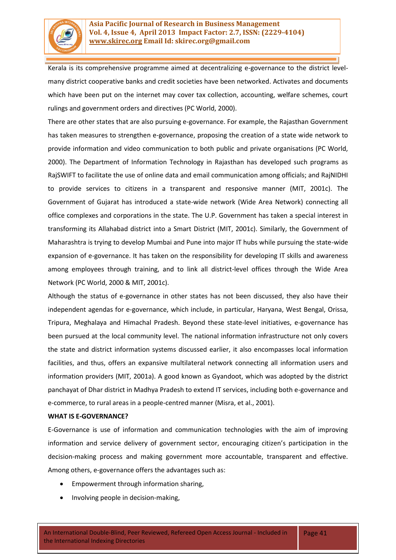

Kerala is its comprehensive programme aimed at decentralizing e-governance to the district levelmany district cooperative banks and credit societies have been networked. Activates and documents which have been put on the internet may cover tax collection, accounting, welfare schemes, court rulings and government orders and directives (PC World, 2000).

There are other states that are also pursuing e-governance. For example, the Rajasthan Government has taken measures to strengthen e-governance, proposing the creation of a state wide network to provide information and video communication to both public and private organisations (PC World, 2000). The Department of Information Technology in Rajasthan has developed such programs as RajSWIFT to facilitate the use of online data and email communication among officials; and RajNIDHI to provide services to citizens in a transparent and responsive manner (MIT, 2001c). The Government of Gujarat has introduced a state-wide network (Wide Area Network) connecting all office complexes and corporations in the state. The U.P. Government has taken a special interest in transforming its Allahabad district into a Smart District (MIT, 2001c). Similarly, the Government of Maharashtra is trying to develop Mumbai and Pune into major IT hubs while pursuing the state-wide expansion of e-governance. It has taken on the responsibility for developing IT skills and awareness among employees through training, and to link all district-level offices through the Wide Area Network (PC World, 2000 & MIT, 2001c).

Although the status of e-governance in other states has not been discussed, they also have their independent agendas for e-governance, which include, in particular, Haryana, West Bengal, Orissa, Tripura, Meghalaya and Himachal Pradesh. Beyond these state-level initiatives, e-governance has been pursued at the local community level. The national information infrastructure not only covers the state and district information systems discussed earlier, it also encompasses local information facilities, and thus, offers an expansive multilateral network connecting all information users and information providers (MIT, 2001a). A good known as Gyandoot, which was adopted by the district panchayat of Dhar district in Madhya Pradesh to extend IT services, including both e-governance and e-commerce, to rural areas in a people-centred manner (Misra, et al., 2001).

#### **WHAT IS E-GOVERNANCE?**

E-Governance is use of information and communication technologies with the aim of improving information and service delivery of government sector, encouraging citizen's participation in the decision-making process and making government more accountable, transparent and effective. Among others, e-governance offers the advantages such as:

- Empowerment through information sharing,
- Involving people in decision-making,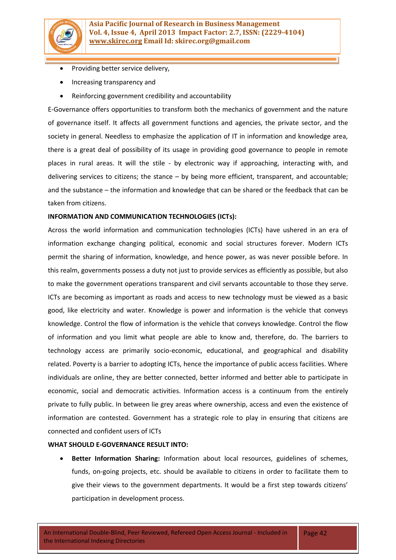

- Providing better service delivery,
- Increasing transparency and
- Reinforcing government credibility and accountability

E-Governance offers opportunities to transform both the mechanics of government and the nature of governance itself. It affects all government functions and agencies, the private sector, and the society in general. Needless to emphasize the application of IT in information and knowledge area, there is a great deal of possibility of its usage in providing good governance to people in remote places in rural areas. It will the stile - by electronic way if approaching, interacting with, and delivering services to citizens; the stance – by being more efficient, transparent, and accountable; and the substance – the information and knowledge that can be shared or the feedback that can be taken from citizens.

#### **INFORMATION AND COMMUNICATION TECHNOLOGIES (ICTs):**

Across the world information and communication technologies (ICTs) have ushered in an era of information exchange changing political, economic and social structures forever. Modern ICTs permit the sharing of information, knowledge, and hence power, as was never possible before. In this realm, governments possess a duty not just to provide services as efficiently as possible, but also to make the government operations transparent and civil servants accountable to those they serve. ICTs are becoming as important as roads and access to new technology must be viewed as a basic good, like electricity and water. Knowledge is power and information is the vehicle that conveys knowledge. Control the flow of information is the vehicle that conveys knowledge. Control the flow of information and you limit what people are able to know and, therefore, do. The barriers to technology access are primarily socio-economic, educational, and geographical and disability related. Poverty is a barrier to adopting ICTs, hence the importance of public access facilities. Where individuals are online, they are better connected, better informed and better able to participate in economic, social and democratic activities. Information access is a continuum from the entirely private to fully public. In between lie grey areas where ownership, access and even the existence of information are contested. Government has a strategic role to play in ensuring that citizens are connected and confident users of ICTs

#### **WHAT SHOULD E-GOVERNANCE RESULT INTO:**

 **Better Information Sharing:** Information about local resources, guidelines of schemes, funds, on-going projects, etc. should be available to citizens in order to facilitate them to give their views to the government departments. It would be a first step towards citizens' participation in development process.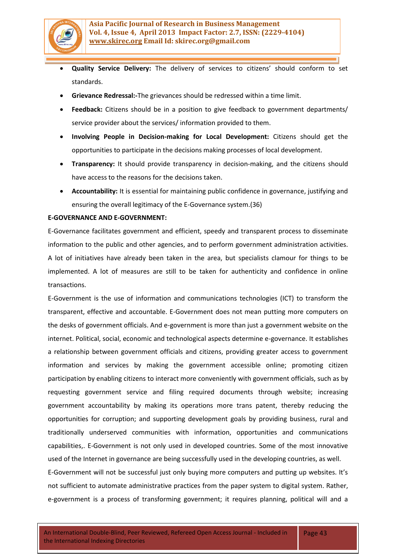

- **Quality Service Delivery:** The delivery of services to citizens' should conform to set standards.
- **Grievance Redressal:-**The grievances should be redressed within a time limit.
- **Feedback:** Citizens should be in a position to give feedback to government departments/ service provider about the services/ information provided to them.
- **Involving People in Decision-making for Local Development:** Citizens should get the opportunities to participate in the decisions making processes of local development.
- **Transparency:** It should provide transparency in decision-making, and the citizens should have access to the reasons for the decisions taken.
- **Accountability:** It is essential for maintaining public confidence in governance, justifying and ensuring the overall legitimacy of the E-Governance system.(36)

### **E-GOVERNANCE AND E-GOVERNMENT:**

E-Governance facilitates government and efficient, speedy and transparent process to disseminate information to the public and other agencies, and to perform government administration activities. A lot of initiatives have already been taken in the area, but specialists clamour for things to be implemented. A lot of measures are still to be taken for authenticity and confidence in online transactions.

E-Government is the use of information and communications technologies (ICT) to transform the transparent, effective and accountable. E-Government does not mean putting more computers on the desks of government officials. And e-government is more than just a government website on the internet. Political, social, economic and technological aspects determine e-governance. It establishes a relationship between government officials and citizens, providing greater access to government information and services by making the government accessible online; promoting citizen participation by enabling citizens to interact more conveniently with government officials, such as by requesting government service and filing required documents through website; increasing government accountability by making its operations more trans patent, thereby reducing the opportunities for corruption; and supporting development goals by providing business, rural and traditionally underserved communities with information, opportunities and communications capabilities,. E-Government is not only used in developed countries. Some of the most innovative used of the Internet in governance are being successfully used in the developing countries, as well.

E-Government will not be successful just only buying more computers and putting up websites. It's not sufficient to automate administrative practices from the paper system to digital system. Rather, e-government is a process of transforming government; it requires planning, political will and a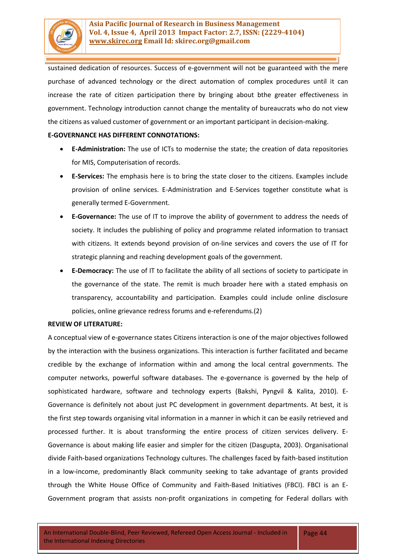

sustained dedication of resources. Success of e-government will not be guaranteed with the mere purchase of advanced technology or the direct automation of complex procedures until it can increase the rate of citizen participation there by bringing about bthe greater effectiveness in government. Technology introduction cannot change the mentality of bureaucrats who do not view the citizens as valued customer of government or an important participant in decision-making.

## **E-GOVERNANCE HAS DIFFERENT CONNOTATIONS:**

- **E-Administration:** The use of ICTs to modernise the state; the creation of data repositories for MIS, Computerisation of records.
- **E-Services:** The emphasis here is to bring the state closer to the citizens. Examples include provision of online services. E-Administration and E-Services together constitute what is generally termed E-Government.
- **E-Governance:** The use of IT to improve the ability of government to address the needs of society. It includes the publishing of policy and programme related information to transact with citizens. It extends beyond provision of on-line services and covers the use of IT for strategic planning and reaching development goals of the government.
- **E-Democracy:** The use of IT to facilitate the ability of all sections of society to participate in the governance of the state. The remit is much broader here with a stated emphasis on transparency, accountability and participation. Examples could include online disclosure policies, online grievance redress forums and e-referendums.(2)

#### **REVIEW OF LITERATURE:**

A conceptual view of e-governance states Citizens interaction is one of the major objectives followed by the interaction with the business organizations. This interaction is further facilitated and became credible by the exchange of information within and among the local central governments. The computer networks, powerful software databases. The e-governance is governed by the help of sophisticated hardware, software and technology experts (Bakshi, Pyngvil & Kalita, 2010). E-Governance is definitely not about just PC development in government departments. At best, it is the first step towards organising vital information in a manner in which it can be easily retrieved and processed further. It is about transforming the entire process of citizen services delivery. E-Governance is about making life easier and simpler for the citizen (Dasgupta, 2003). Organisational divide Faith-based organizations Technology cultures. The challenges faced by faith-based institution in a low-income, predominantly Black community seeking to take advantage of grants provided through the White House Office of Community and Faith-Based Initiatives (FBCI). FBCI is an E-Government program that assists non-profit organizations in competing for Federal dollars with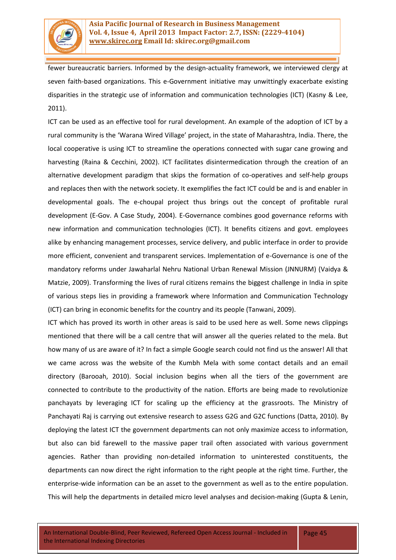

fewer bureaucratic barriers. Informed by the design-actuality framework, we interviewed clergy at seven faith-based organizations. This e-Government initiative may unwittingly exacerbate existing disparities in the strategic use of information and communication technologies (ICT) (Kasny & Lee, 2011).

ICT can be used as an effective tool for rural development. An example of the adoption of ICT by a rural community is the 'Warana Wired Village' project, in the state of Maharashtra, India. There, the local cooperative is using ICT to streamline the operations connected with sugar cane growing and harvesting (Raina & Cecchini, 2002). ICT facilitates disintermedication through the creation of an alternative development paradigm that skips the formation of co-operatives and self-help groups and replaces then with the network society. It exemplifies the fact ICT could be and is and enabler in developmental goals. The e-choupal project thus brings out the concept of profitable rural development (E-Gov. A Case Study, 2004). E-Governance combines good governance reforms with new information and communication technologies (ICT). It benefits citizens and govt. employees alike by enhancing management processes, service delivery, and public interface in order to provide more efficient, convenient and transparent services. Implementation of e-Governance is one of the mandatory reforms under Jawaharlal Nehru National Urban Renewal Mission (JNNURM) (Vaidya & Matzie, 2009). Transforming the lives of rural citizens remains the biggest challenge in India in spite of various steps lies in providing a framework where Information and Communication Technology (ICT) can bring in economic benefits for the country and its people (Tanwani, 2009).

ICT which has proved its worth in other areas is said to be used here as well. Some news clippings mentioned that there will be a call centre that will answer all the queries related to the mela. But how many of us are aware of it? In fact a simple Google search could not find us the answer! All that we came across was the website of the Kumbh Mela with some contact details and an email directory (Barooah, 2010). Social inclusion begins when all the tiers of the government are connected to contribute to the productivity of the nation. Efforts are being made to revolutionize panchayats by leveraging ICT for scaling up the efficiency at the grassroots. The Ministry of Panchayati Raj is carrying out extensive research to assess G2G and G2C functions (Datta, 2010). By deploying the latest ICT the government departments can not only maximize access to information, but also can bid farewell to the massive paper trail often associated with various government agencies. Rather than providing non-detailed information to uninterested constituents, the departments can now direct the right information to the right people at the right time. Further, the enterprise-wide information can be an asset to the government as well as to the entire population. This will help the departments in detailed micro level analyses and decision-making (Gupta & Lenin,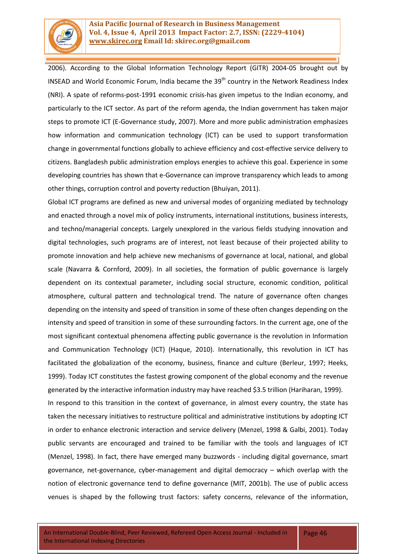

2006). According to the Global Information Technology Report (GITR) 2004-05 brought out by INSEAD and World Economic Forum, India became the  $39<sup>th</sup>$  country in the Network Readiness Index (NRI). A spate of reforms-post-1991 economic crisis-has given impetus to the Indian economy, and particularly to the ICT sector. As part of the reform agenda, the Indian government has taken major steps to promote ICT (E-Governance study, 2007). More and more public administration emphasizes how information and communication technology (ICT) can be used to support transformation change in governmental functions globally to achieve efficiency and cost-effective service delivery to citizens. Bangladesh public administration employs energies to achieve this goal. Experience in some developing countries has shown that e-Governance can improve transparency which leads to among other things, corruption control and poverty reduction (Bhuiyan, 2011).

Global ICT programs are defined as new and universal modes of organizing mediated by technology and enacted through a novel mix of policy instruments, international institutions, business interests, and techno/managerial concepts. Largely unexplored in the various fields studying innovation and digital technologies, such programs are of interest, not least because of their projected ability to promote innovation and help achieve new mechanisms of governance at local, national, and global scale (Navarra & Cornford, 2009). In all societies, the formation of public governance is largely dependent on its contextual parameter, including social structure, economic condition, political atmosphere, cultural pattern and technological trend. The nature of governance often changes depending on the intensity and speed of transition in some of these often changes depending on the intensity and speed of transition in some of these surrounding factors. In the current age, one of the most significant contextual phenomena affecting public governance is the revolution in Information and Communication Technology (ICT) (Haque, 2010). Internationally, this revolution in ICT has facilitated the globalization of the economy, business, finance and culture (Berleur, 1997; Heeks, 1999). Today ICT constitutes the fastest growing component of the global economy and the revenue generated by the interactive information industry may have reached \$3.5 trillion (Hariharan, 1999).

In respond to this transition in the context of governance, in almost every country, the state has taken the necessary initiatives to restructure political and administrative institutions by adopting ICT in order to enhance electronic interaction and service delivery (Menzel, 1998 & Galbi, 2001). Today public servants are encouraged and trained to be familiar with the tools and languages of ICT (Menzel, 1998). In fact, there have emerged many buzzwords - including digital governance, smart governance, net-governance, cyber-management and digital democracy – which overlap with the notion of electronic governance tend to define governance (MIT, 2001b). The use of public access venues is shaped by the following trust factors: safety concerns, relevance of the information,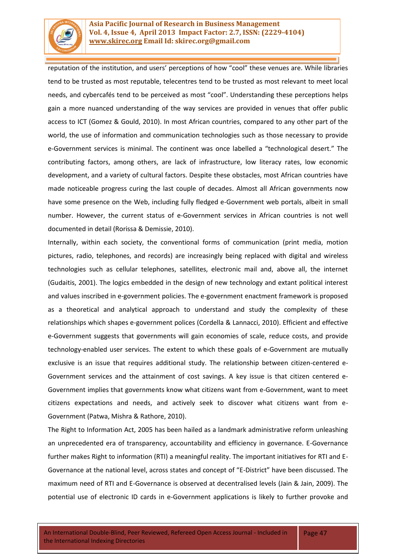

reputation of the institution, and users' perceptions of how "cool" these venues are. While libraries tend to be trusted as most reputable, telecentres tend to be trusted as most relevant to meet local needs, and cybercafés tend to be perceived as most "cool". Understanding these perceptions helps gain a more nuanced understanding of the way services are provided in venues that offer public access to ICT (Gomez & Gould, 2010). In most African countries, compared to any other part of the world, the use of information and communication technologies such as those necessary to provide e-Government services is minimal. The continent was once labelled a "technological desert." The contributing factors, among others, are lack of infrastructure, low literacy rates, low economic development, and a variety of cultural factors. Despite these obstacles, most African countries have made noticeable progress curing the last couple of decades. Almost all African governments now have some presence on the Web, including fully fledged e-Government web portals, albeit in small number. However, the current status of e-Government services in African countries is not well documented in detail (Rorissa & Demissie, 2010).

Internally, within each society, the conventional forms of communication (print media, motion pictures, radio, telephones, and records) are increasingly being replaced with digital and wireless technologies such as cellular telephones, satellites, electronic mail and, above all, the internet (Gudaitis, 2001). The logics embedded in the design of new technology and extant political interest and values inscribed in e-government policies. The e-government enactment framework is proposed as a theoretical and analytical approach to understand and study the complexity of these relationships which shapes e-government polices (Cordella & Lannacci, 2010). Efficient and effective e-Government suggests that governments will gain economies of scale, reduce costs, and provide technology-enabled user services. The extent to which these goals of e-Government are mutually exclusive is an issue that requires additional study. The relationship between citizen-centered e-Government services and the attainment of cost savings. A key issue is that citizen centered e-Government implies that governments know what citizens want from e-Government, want to meet citizens expectations and needs, and actively seek to discover what citizens want from e-Government (Patwa, Mishra & Rathore, 2010).

The Right to Information Act, 2005 has been hailed as a landmark administrative reform unleashing an unprecedented era of transparency, accountability and efficiency in governance. E-Governance further makes Right to information (RTI) a meaningful reality. The important initiatives for RTI and E-Governance at the national level, across states and concept of "E-District" have been discussed. The maximum need of RTI and E-Governance is observed at decentralised levels (Jain & Jain, 2009). The potential use of electronic ID cards in e-Government applications is likely to further provoke and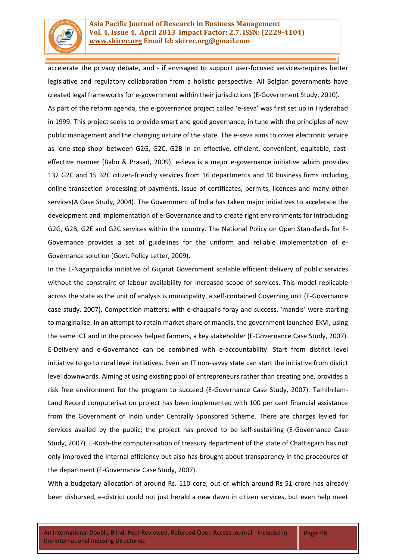

accelerate the privacy debate, and - if envisaged to support user-focused services-requires better legislative and regulatory collaboration from a holistic perspective. All Belgian governments have created legal frameworks for e-government within their jurisdictions (E-Government Study, 2010). As part of the reform agenda, the e-governance project called 'e-seva' was first set up in Hyderabad in 1999. This project seeks to provide smart and good governance, in tune with the principles of new public management and the changing nature of the state. The e-seva aims to cover electronic service as 'one-stop-shop' between G2G, G2C, G2B in an effective, efficient, convenient, equitable, costeffective manner (Babu & Prasad, 2009). e-Seva is a major e-governance initiative which provides 132 G2C and 15 B2C citizen-friendly services from 16 departments and 10 business firms including online transaction processing of payments, issue of certificates, permits, licences and many other services(A Case Study, 2004). The Government of India has taken major initiatives to accelerate the development and implementation of e-Governance and to create right environments for introducing G2G, G2B, G2E and G2C services within the country. The National Policy on Open Stan-dards for E-Governance provides a set of guidelines for the uniform and reliable implementation of e-Governance solution (Govt. Policy Letter, 2009).

In the E-Nagarpalicka initiative of Gujarat Government scalable efficient delivery of public services without the constraint of labour availability for increased scope of services. This model replicable across the state as the unit of analysis is municipality, a self-contained Governing unit (E-Governance case study, 2007). Competition matters; with e-chaupal's foray and success, 'mandis' were starting to marginalise. In an attempt to retain market share of mandis, the government launched EKVI, using the same ICT and in the process helped farmers, a key stakeholder (E-Governance Case Study, 2007). E-Delivery and e-Governance can be combined with e-accountability. Start from district level initiative to go to rural level initiatives. Even an IT non-savvy state can start the initiative from distict level downwards. Aiming at using existing pool of entrepreneurs rather than creating one, provides a risk free environment for the program to succeed (E-Governance Case Study, 2007). Tamilnilam-Land Record computerisation project has been implemented with 100 per cent financial assistance from the Government of India under Centrally Sponsored Scheme. There are charges levied for services availed by the public; the project has proved to be self-sustaining (E-Governance Case Study, 2007). E-Kosh-the computerisation of treasury department of the state of Chattisgarh has not only improved the internal efficiency but also has brought about transparency in the procedures of the department (E-Governance Case Study, 2007).

With a budgetary allocation of around Rs. 110 core, out of which around Rs 51 crore has already been disbursed, e-district could not just herald a new dawn in citizen services, but even help meet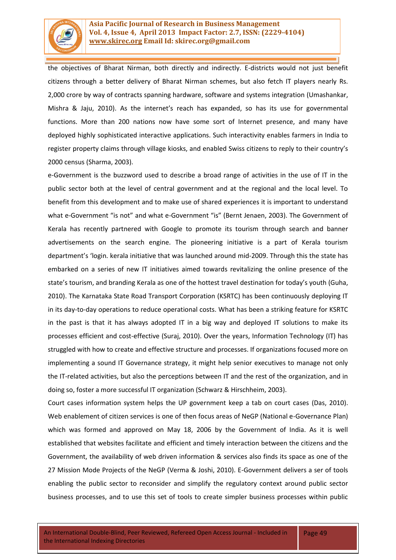

the objectives of Bharat Nirman, both directly and indirectly. E-districts would not just benefit citizens through a better delivery of Bharat Nirman schemes, but also fetch IT players nearly Rs. 2,000 crore by way of contracts spanning hardware, software and systems integration (Umashankar, Mishra & Jaju, 2010). As the internet's reach has expanded, so has its use for governmental functions. More than 200 nations now have some sort of Internet presence, and many have deployed highly sophisticated interactive applications. Such interactivity enables farmers in India to register property claims through village kiosks, and enabled Swiss citizens to reply to their country's 2000 census (Sharma, 2003).

e-Government is the buzzword used to describe a broad range of activities in the use of IT in the public sector both at the level of central government and at the regional and the local level. To benefit from this development and to make use of shared experiences it is important to understand what e-Government "is not" and what e-Government "is" (Bernt Jenaen, 2003). The Government of Kerala has recently partnered with Google to promote its tourism through search and banner advertisements on the search engine. The pioneering initiative is a part of Kerala tourism department's 'login. kerala initiative that was launched around mid-2009. Through this the state has embarked on a series of new IT initiatives aimed towards revitalizing the online presence of the state's tourism, and branding Kerala as one of the hottest travel destination for today's youth (Guha, 2010). The Karnataka State Road Transport Corporation (KSRTC) has been continuously deploying IT in its day-to-day operations to reduce operational costs. What has been a striking feature for KSRTC in the past is that it has always adopted IT in a big way and deployed IT solutions to make its processes efficient and cost-effective (Suraj, 2010). Over the years, Information Technology (IT) has struggled with how to create and effective structure and processes. If organizations focused more on implementing a sound IT Governance strategy, it might help senior executives to manage not only the IT-related activities, but also the perceptions between IT and the rest of the organization, and in doing so, foster a more successful IT organization (Schwarz & Hirschheim, 2003).

Court cases information system helps the UP government keep a tab on court cases (Das, 2010). Web enablement of citizen services is one of then focus areas of NeGP (National e-Governance Plan) which was formed and approved on May 18, 2006 by the Government of India. As it is well established that websites facilitate and efficient and timely interaction between the citizens and the Government, the availability of web driven information & services also finds its space as one of the 27 Mission Mode Projects of the NeGP (Verma & Joshi, 2010). E-Government delivers a ser of tools enabling the public sector to reconsider and simplify the regulatory context around public sector business processes, and to use this set of tools to create simpler business processes within public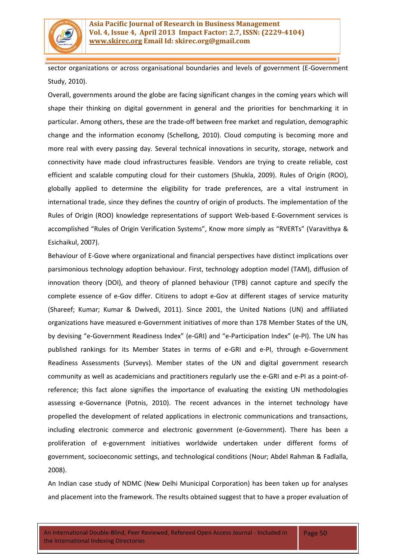

sector organizations or across organisational boundaries and levels of government (E-Government Study, 2010).

Overall, governments around the globe are facing significant changes in the coming years which will shape their thinking on digital government in general and the priorities for benchmarking it in particular. Among others, these are the trade-off between free market and regulation, demographic change and the information economy (Schellong, 2010). Cloud computing is becoming more and more real with every passing day. Several technical innovations in security, storage, network and connectivity have made cloud infrastructures feasible. Vendors are trying to create reliable, cost efficient and scalable computing cloud for their customers (Shukla, 2009). Rules of Origin (ROO), globally applied to determine the eligibility for trade preferences, are a vital instrument in international trade, since they defines the country of origin of products. The implementation of the Rules of Origin (ROO) knowledge representations of support Web-based E-Government services is accomplished "Rules of Origin Verification Systems", Know more simply as "RVERTs" (Varavithya & Esichaikul, 2007).

Behaviour of E-Gove where organizational and financial perspectives have distinct implications over parsimonious technology adoption behaviour. First, technology adoption model (TAM), diffusion of innovation theory (DOI), and theory of planned behaviour (TPB) cannot capture and specify the complete essence of e-Gov differ. Citizens to adopt e-Gov at different stages of service maturity (Shareef; Kumar; Kumar & Dwivedi, 2011). Since 2001, the United Nations (UN) and affiliated organizations have measured e-Government initiatives of more than 178 Member States of the UN, by devising "e-Government Readiness Index" (e-GRI) and "e-Participation Index" (e-PI). The UN has published rankings for its Member States in terms of e-GRI and e-PI, through e-Government Readiness Assessments (Surveys). Member states of the UN and digital government research community as well as academicians and practitioners regularly use the e-GRI and e-PI as a point-ofreference; this fact alone signifies the importance of evaluating the existing UN methodologies assessing e-Governance (Potnis, 2010). The recent advances in the internet technology have propelled the development of related applications in electronic communications and transactions, including electronic commerce and electronic government (e-Government). There has been a proliferation of e-government initiatives worldwide undertaken under different forms of government, socioeconomic settings, and technological conditions (Nour; Abdel Rahman & Fadlalla, 2008).

An Indian case study of NDMC (New Delhi Municipal Corporation) has been taken up for analyses and placement into the framework. The results obtained suggest that to have a proper evaluation of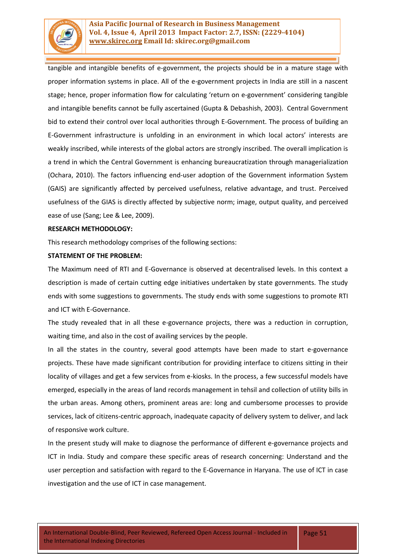

tangible and intangible benefits of e-government, the projects should be in a mature stage with proper information systems in place. All of the e-government projects in India are still in a nascent stage; hence, proper information flow for calculating 'return on e-government' considering tangible and intangible benefits cannot be fully ascertained (Gupta & Debashish, 2003). Central Government bid to extend their control over local authorities through E-Government. The process of building an E-Government infrastructure is unfolding in an environment in which local actors' interests are weakly inscribed, while interests of the global actors are strongly inscribed. The overall implication is a trend in which the Central Government is enhancing bureaucratization through managerialization (Ochara, 2010). The factors influencing end-user adoption of the Government information System (GAIS) are significantly affected by perceived usefulness, relative advantage, and trust. Perceived usefulness of the GIAS is directly affected by subjective norm; image, output quality, and perceived ease of use (Sang; Lee & Lee, 2009).

#### **RESEARCH METHODOLOGY:**

This research methodology comprises of the following sections:

#### **STATEMENT OF THE PROBLEM:**

The Maximum need of RTI and E-Governance is observed at decentralised levels. In this context a description is made of certain cutting edge initiatives undertaken by state governments. The study ends with some suggestions to governments. The study ends with some suggestions to promote RTI and ICT with E-Governance.

The study revealed that in all these e-governance projects, there was a reduction in corruption, waiting time, and also in the cost of availing services by the people.

In all the states in the country, several good attempts have been made to start e-governance projects. These have made significant contribution for providing interface to citizens sitting in their locality of villages and get a few services from e-kiosks. In the process, a few successful models have emerged, especially in the areas of land records management in tehsil and collection of utility bills in the urban areas. Among others, prominent areas are: long and cumbersome processes to provide services, lack of citizens-centric approach, inadequate capacity of delivery system to deliver, and lack of responsive work culture.

In the present study will make to diagnose the performance of different e-governance projects and ICT in India. Study and compare these specific areas of research concerning: Understand and the user perception and satisfaction with regard to the E-Governance in Haryana. The use of ICT in case investigation and the use of ICT in case management.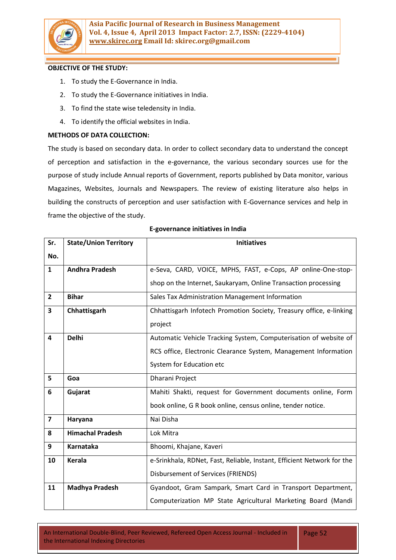

# **OBJECTIVE OF THE STUDY:**

- 1. To study the E-Governance in India.
- 2. To study the E-Governance initiatives in India.
- 3. To find the state wise teledensity in India.
- 4. To identify the official websites in India.

### **METHODS OF DATA COLLECTION:**

The study is based on secondary data. In order to collect secondary data to understand the concept of perception and satisfaction in the e-governance, the various secondary sources use for the purpose of study include Annual reports of Government, reports published by Data monitor, various Magazines, Websites, Journals and Newspapers. The review of existing literature also helps in building the constructs of perception and user satisfaction with E-Governance services and help in frame the objective of the study.

| Sr.                     | <b>State/Union Territory</b> | <b>Initiatives</b>                                                     |
|-------------------------|------------------------------|------------------------------------------------------------------------|
| No.                     |                              |                                                                        |
| $\mathbf{1}$            | <b>Andhra Pradesh</b>        | e-Seva, CARD, VOICE, MPHS, FAST, e-Cops, AP online-One-stop-           |
|                         |                              | shop on the Internet, Saukaryam, Online Transaction processing         |
| $\mathbf{2}$            | <b>Bihar</b>                 | Sales Tax Administration Management Information                        |
| 3                       | Chhattisgarh                 | Chhattisgarh Infotech Promotion Society, Treasury office, e-linking    |
|                         |                              | project                                                                |
| $\overline{\mathbf{a}}$ | <b>Delhi</b>                 | Automatic Vehicle Tracking System, Computerisation of website of       |
|                         |                              | RCS office, Electronic Clearance System, Management Information        |
|                         |                              | System for Education etc                                               |
| 5                       | Goa                          | Dharani Project                                                        |
| 6                       | Gujarat                      | Mahiti Shakti, request for Government documents online, Form           |
|                         |                              | book online, G R book online, census online, tender notice.            |
| $\overline{\mathbf{z}}$ | Haryana                      | Nai Disha                                                              |
| 8                       | <b>Himachal Pradesh</b>      | Lok Mitra                                                              |
| 9                       | Karnataka                    | Bhoomi, Khajane, Kaveri                                                |
| 10                      | <b>Kerala</b>                | e-Srinkhala, RDNet, Fast, Reliable, Instant, Efficient Network for the |
|                         |                              | <b>Disbursement of Services (FRIENDS)</b>                              |
| 11                      | <b>Madhya Pradesh</b>        | Gyandoot, Gram Sampark, Smart Card in Transport Department,            |
|                         |                              | Computerization MP State Agricultural Marketing Board (Mandi           |

#### **E-governance initiatives in India**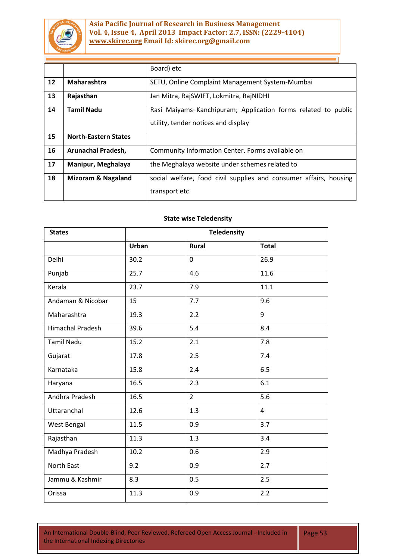

|    |                             | Board) etc                                                        |
|----|-----------------------------|-------------------------------------------------------------------|
| 12 | <b>Maharashtra</b>          | SETU, Online Complaint Management System-Mumbai                   |
| 13 | Rajasthan                   | Jan Mitra, RajSWIFT, Lokmitra, RajNIDHI                           |
| 14 | <b>Tamil Nadu</b>           | Rasi Maiyams-Kanchipuram; Application forms related to public     |
|    |                             | utility, tender notices and display                               |
| 15 | <b>North-Eastern States</b> |                                                                   |
| 16 | Arunachal Pradesh,          | Community Information Center. Forms available on                  |
| 17 | Manipur, Meghalaya          | the Meghalaya website under schemes related to                    |
| 18 | Mizoram & Nagaland          | social welfare, food civil supplies and consumer affairs, housing |
|    |                             | transport etc.                                                    |

| <b>States</b>           | <b>Teledensity</b> |                |              |  |
|-------------------------|--------------------|----------------|--------------|--|
|                         | <b>Urban</b>       | Rural          | <b>Total</b> |  |
| Delhi                   | 30.2               | $\overline{0}$ | 26.9         |  |
| Punjab                  | 25.7               | 4.6            | 11.6         |  |
| Kerala                  | 23.7               | 7.9            | 11.1         |  |
| Andaman & Nicobar       | 15                 | 7.7            | 9.6          |  |
| Maharashtra             | 19.3               | 2.2            | 9            |  |
| <b>Himachal Pradesh</b> | 39.6               | 5.4            | 8.4          |  |
| <b>Tamil Nadu</b>       | 15.2               | 2.1            | 7.8          |  |
| Gujarat                 | 17.8               | 2.5            | 7.4          |  |
| Karnataka               | 15.8               | 2.4            | 6.5          |  |
| Haryana                 | 16.5               | 2.3            | 6.1          |  |
| Andhra Pradesh          | 16.5               | $\overline{2}$ | 5.6          |  |
| Uttaranchal             | 12.6               | 1.3            | 4            |  |
| <b>West Bengal</b>      | 11.5               | 0.9            | 3.7          |  |
| Rajasthan               | 11.3               | 1.3            | 3.4          |  |
| Madhya Pradesh          | 10.2               | 0.6            | 2.9          |  |
| North East              | 9.2                | 0.9            | 2.7          |  |
| Jammu & Kashmir         | 8.3                | 0.5            | 2.5          |  |
| Orissa                  | 11.3               | 0.9            | 2.2          |  |

## **State wise Teledensity**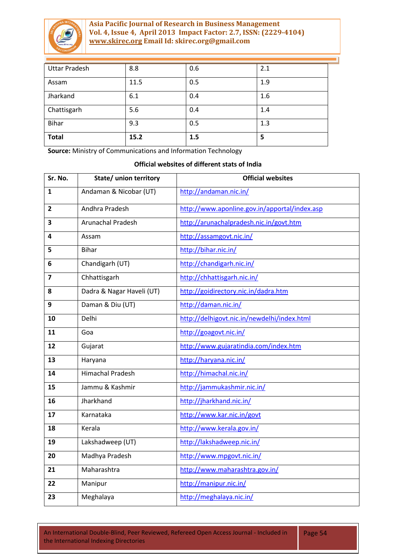

| <b>Uttar Pradesh</b> | 8.8  | 0.6 | 2.1 |
|----------------------|------|-----|-----|
| Assam                | 11.5 | 0.5 | 1.9 |
| Jharkand             | 6.1  | 0.4 | 1.6 |
| Chattisgarh          | 5.6  | 0.4 | 1.4 |
| <b>Bihar</b>         | 9.3  | 0.5 | 1.3 |
| <b>Total</b>         | 15.2 | 1.5 | 5   |

**Source:** Ministry of Communications and Information Technology

## **Official websites of different stats of India**

| Sr. No.        | State/ union territory    | <b>Official websites</b>                      |
|----------------|---------------------------|-----------------------------------------------|
| $\mathbf{1}$   | Andaman & Nicobar (UT)    | http://andaman.nic.in/                        |
| $\mathbf{2}$   | Andhra Pradesh            | http://www.aponline.gov.in/apportal/index.asp |
| 3              | <b>Arunachal Pradesh</b>  | http://arunachalpradesh.nic.in/govt.htm       |
| 4              | Assam                     | http://assamgovt.nic.in/                      |
| 5              | <b>Bihar</b>              | http://bihar.nic.in/                          |
| 6              | Chandigarh (UT)           | http://chandigarh.nic.in/                     |
| $\overline{ }$ | Chhattisgarh              | http://chhattisgarh.nic.in/                   |
| 8              | Dadra & Nagar Haveli (UT) | http://goidirectory.nic.in/dadra.htm          |
| 9              | Daman & Diu (UT)          | http://daman.nic.in/                          |
| 10             | Delhi                     | http://delhigovt.nic.in/newdelhi/index.html   |
| 11             | Goa                       | http://goagovt.nic.in/                        |
| 12             | Gujarat                   | http://www.gujaratindia.com/index.htm         |
| 13             | Haryana                   | http://haryana.nic.in/                        |
| 14             | <b>Himachal Pradesh</b>   | http://himachal.nic.in/                       |
| 15             | Jammu & Kashmir           | http://jammukashmir.nic.in/                   |
| 16             | Jharkhand                 | http://jharkhand.nic.in/                      |
| 17             | Karnataka                 | http://www.kar.nic.in/govt                    |
| 18             | Kerala                    | http://www.kerala.gov.in/                     |
| 19             | Lakshadweep (UT)          | http://lakshadweep.nic.in/                    |
| 20             | Madhya Pradesh            | http://www.mpgovt.nic.in/                     |
| 21             | Maharashtra               | http://www.maharashtra.gov.in/                |
| 22             | Manipur                   | http://manipur.nic.in/                        |
| 23             | Meghalaya                 | http://meghalaya.nic.in/                      |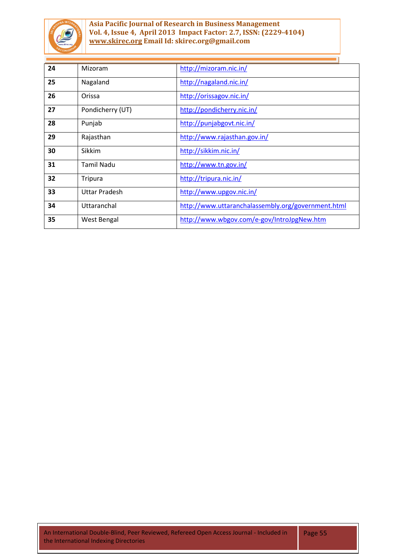

| 24 | Mizoram          | http://mizoram.nic.in/                             |
|----|------------------|----------------------------------------------------|
| 25 | Nagaland         | http://nagaland.nic.in/                            |
| 26 | Orissa           | http://orissagov.nic.in/                           |
| 27 | Pondicherry (UT) | http://pondicherry.nic.in/                         |
| 28 | Punjab           | http://punjabgovt.nic.in/                          |
| 29 | Rajasthan        | http://www.rajasthan.gov.in/                       |
| 30 | Sikkim           | http://sikkim.nic.in/                              |
| 31 | Tamil Nadu       | http://www.tn.gov.in/                              |
| 32 | <b>Tripura</b>   | http://tripura.nic.in/                             |
| 33 | Uttar Pradesh    | http://www.upgov.nic.in/                           |
| 34 | Uttaranchal      | http://www.uttaranchalassembly.org/government.html |
| 35 | West Bengal      | http://www.wbgov.com/e-gov/IntroJpgNew.htm         |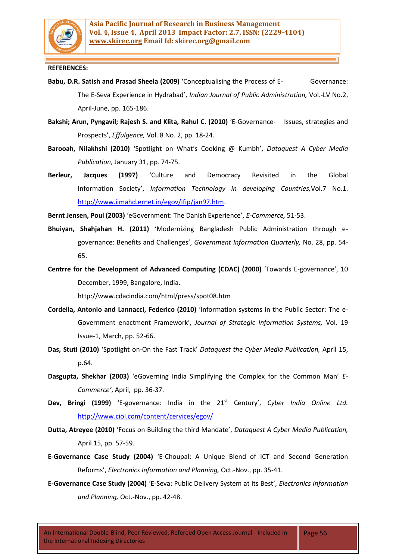

#### **REFERENCES:**

- **Babu, D.R. Satish and Prasad Sheela (2009)** 'Conceptualising the Process of E- Governance: The E-Seva Experience in Hydrabad', *Indian Journal of Public Administration,* Vol.-LV No.2, April-June, pp. 165-186.
- **Bakshi; Arun, Pyngavil; Rajesh S. and Klita, Rahul C. (2010)** 'E-Governance- Issues, strategies and Prospects', *Effulgence,* Vol. 8 No. 2, pp. 18-24.
- **Barooah, Nilakhshi (2010)** 'Spotlight on What's Cooking @ Kumbh', *Dataquest A Cyber Media Publication,* January 31, pp. 74-75.
- **Berleur, Jacques (1997)** 'Culture and Democracy Revisited in the Global Information Society', *Information Technology in developing Countries,*Vol.7 No.1. [http://www.iimahd.ernet.in/egov/ifip/jan97.htm.](http://www.iimahd.ernet.in/egov/ifip/jan97.htm)

**Bernt Jensen, Poul (2003)** 'eGovernment: The Danish Experience', *E-Commerce,* 51-53.

- **Bhuiyan, Shahjahan H. (2011)** 'Modernizing Bangladesh Public Administration through egovernance: Benefits and Challenges', *Government Information Quarterly,* No. 28, pp. 54- 65.
- **Centrre for the Development of Advanced Computing (CDAC) (2000)** 'Towards E-governance', 10 December, 1999, Bangalore, India.

http://www.cdacindia.com/html/press/spot08.htm

- **Cordella, Antonio and Lannacci, Federico (2010)** 'Information systems in the Public Sector: The e-Government enactment Framework', *Journal of Strategic Information Systems,* Vol. 19 Issue-1, March, pp. 52-66.
- **Das, Stuti (2010)** 'Spotlight on-On the Fast Track' *Dataquest the Cyber Media Publication,* April 15, p.64.
- **Dasgupta, Shekhar (2003)** 'eGoverning India Simplifying the Complex for the Common Man' *E*-*Commerce'*, April, pp. 36-37.
- Dev, Bringi (1999) 'E-governance: India in the 21<sup>st</sup> Century', Cyber India Online Ltd. <http://www.ciol.com/content/cervices/egov/>
- **Dutta, Atreyee (2010)** 'Focus on Building the third Mandate', *Dataquest A Cyber Media Publication,* April 15, pp. 57-59.
- **E-Governance Case Study (2004)** 'E-Choupal: A Unique Blend of ICT and Second Generation Reforms', *Electronics Information and Planning,* Oct.-Nov., pp. 35-41.
- **E-Governance Case Study (2004)** 'E-Seva: Public Delivery System at its Best', *Electronics Information and Planning,* Oct.-Nov., pp. 42-48.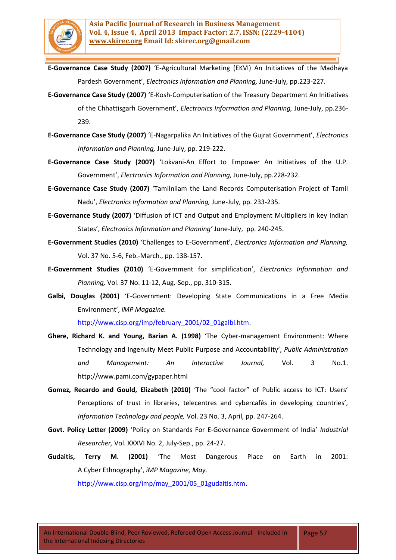

**E-Governance Case Study (2007)** 'E-Agricultural Marketing (EKVI) An Initiatives of the Madhaya Pardesh Government', *Electronics Information and Planning,* June-July, pp.223-227.

- **E-Governance Case Study (2007)** 'E-Kosh-Computerisation of the Treasury Department An Initiatives of the Chhattisgarh Government', *Electronics Information and Planning,* June-July, pp.236- 239.
- **E-Governance Case Study (2007)** 'E-Nagarpalika An Initiatives of the Gujrat Government', *Electronics Information and Planning,* June-July, pp. 219-222.
- **E-Governance Case Study (2007)** 'Lokvani-An Effort to Empower An Initiatives of the U.P. Government', *Electronics Information and Planning,* June-July, pp.228-232.
- **E-Governance Case Study (2007)** 'Tamilnilam the Land Records Computerisation Project of Tamil Nadu', *Electronics Information and Planning,* June-July, pp. 233-235.
- **E-Governance Study (2007)** 'Diffusion of ICT and Output and Employment Multipliers in key Indian States', *Electronics Information and Planning'* June-July, pp. 240-245.
- **E-Government Studies (2010)** 'Challenges to E-Government', *Electronics Information and Planning,* Vol. 37 No. 5-6, Feb.-March., pp. 138-157.
- **E-Government Studies (2010)** 'E-Government for simplification', *Electronics Information and Planning,* Vol. 37 No. 11-12, Aug.-Sep., pp. 310-315.
- **Galbi, Douglas (2001)** 'E-Government: Developing State Communications in a Free Media Environment', *iMP Magazine.*

[http://www.cisp.org/imp/february\\_2001/02\\_01galbi.htm.](http://www.cisp.org/imp/february_2001/02_01galbi.htm)

- **Ghere, Richard K. and Young, Barian A. (1998)** 'The Cyber-management Environment: Where Technology and Ingenuity Meet Public Purpose and Accountability', *Public Administration and Management: An Interactive Journal,* Vol. 3 No.1. http;//www.pami.com/gypaper.html
- **Gomez, Recardo and Gould, Elizabeth (2010)** 'The "cool factor" of Public access to ICT: Users' Perceptions of trust in libraries, telecentres and cybercafés in developing countries', *Information Technology and people,* Vol. 23 No. 3, April, pp. 247-264.
- **Govt. Policy Letter (2009)** 'Policy on Standards For E-Governance Government of India' *Industrial Researcher,* Vol. XXXVI No. 2, July-Sep., pp. 24-27.
- **Gudaitis, Terry M. (2001)** 'The Most Dangerous Place on Earth in 2001: A Cyber Ethnography', *iMP Magazine, May.*

[http://www.cisp.org/imp/may\\_2001/05\\_01gudaitis.htm.](http://www.cisp.org/imp/may_2001/05_01gudaitis.htm)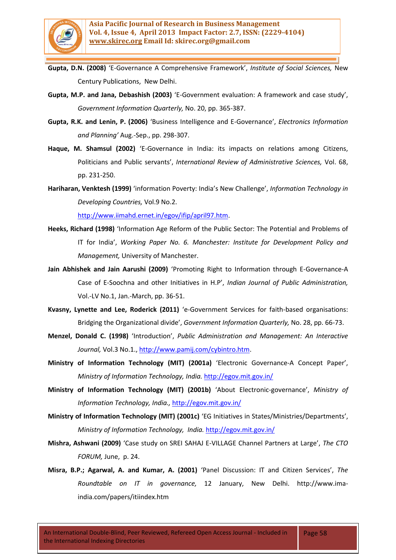

- **Gupta, D.N. (2008)** 'E-Governance A Comprehensive Framework', *Institute of Social Sciences,* New Century Publications, New Delhi.
- **Gupta, M.P. and Jana, Debashish (2003)** 'E-Government evaluation: A framework and case study', *Government Information Quarterly,* No. 20, pp. 365-387.
- **Gupta, R.K. and Lenin, P. (2006)** 'Business Intelligence and E-Governance', *Electronics Information and Planning'* Aug.-Sep., pp. 298-307.
- **Haque, M. Shamsul (2002)** 'E-Governance in India: its impacts on relations among Citizens, Politicians and Public servants', *International Review of Administrative Sciences,* Vol. 68, pp. 231-250.
- **Hariharan, Venktesh (1999)** 'information Poverty: India's New Challenge', *Information Technology in Developing Countries,* Vol.9 No.2.

[http://www.iimahd.ernet.in/egov/ifip/april97.htm.](http://www.iimahd.ernet.in/egov/ifip/april99.htm)

- **Heeks, Richard (1998)** 'Information Age Reform of the Public Sector: The Potential and Problems of IT for India', *Working Paper No. 6. Manchester: Institute for Development Policy and Management,* University of Manchester.
- **Jain Abhishek and Jain Aarushi (2009)** 'Promoting Right to Information through E-Governance-A Case of E-Soochna and other Initiatives in H.P', *Indian Journal of Public Administration,* Vol.-LV No.1, Jan.-March, pp. 36-51.
- **Kvasny, Lynette and Lee, Roderick (2011)** 'e-Government Services for faith-based organisations: Bridging the Organizational divide', *Government Information Quarterly,* No. 28, pp. 66-73.
- **Menzel, Donald C. (1998)** 'Introduction', *Public Administration and Management: An Interactive Journal,* Vol.3 No.1.[, http://www.pamij.com/cybintro.htm.](http://www.pamij.com/cybintro.htm)
- **Ministry of Information Technology (MIT) (2001a)** 'Electronic Governance-A Concept Paper', *Ministry of Information Technology, India.* <http://egov.mit.gov.in/>
- **Ministry of Information Technology (MIT) (2001b)** 'About Electronic-governance', *Ministry of Information Technology, India.,* <http://egov.mit.gov.in/>
- **Ministry of Information Technology (MIT) (2001c)** 'EG Initiatives in States/Ministries/Departments', *Ministry of Information Technology, India.* <http://egov.mit.gov.in/>
- **Mishra, Ashwani (2009)** 'Case study on SREI SAHAJ E-VILLAGE Channel Partners at Large', *The CTO FORUM,* June, p. 24.
- **Misra, B.P.; Agarwal, A. and Kumar, A. (2001)** 'Panel Discussion: IT and Citizen Services', *The Roundtable on IT in governance,* 12 January, New Delhi. http://www.imaindia.com/papers/itiindex.htm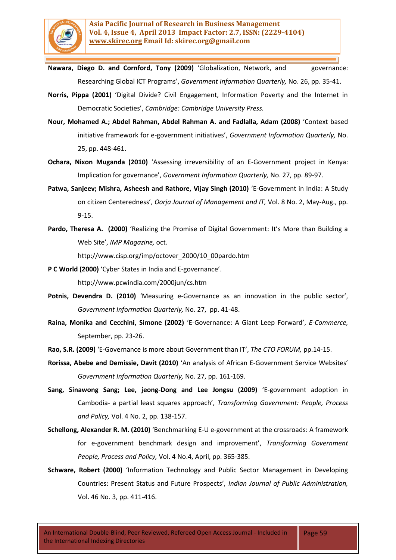

- Nawara, Diego D. and Cornford, Tony (2009) 'Globalization, Network, and governance: Researching Global ICT Programs', *Government Information Quarterly,* No. 26, pp. 35-41.
- **Norris, Pippa (2001)** 'Digital Divide? Civil Engagement, Information Poverty and the Internet in Democratic Societies', *Cambridge: Cambridge University Press.*
- **Nour, Mohamed A.; Abdel Rahman, Abdel Rahman A. and Fadlalla, Adam (2008)** 'Context based initiative framework for e-government initiatives', *Government Information Quarterly,* No. 25, pp. 448-461.
- **Ochara, Nixon Muganda (2010)** 'Assessing irreversibility of an E-Government project in Kenya: Implication for governance', *Government Information Quarterly,* No. 27, pp. 89-97.
- **Patwa, Sanjeev; Mishra, Asheesh and Rathore, Vijay Singh (2010)** 'E-Government in India: A Study on citizen Centeredness', *Oorja Journal of Management and IT,* Vol. 8 No. 2, May-Aug., pp. 9-15.
- **Pardo, Theresa A. (2000)** 'Realizing the Promise of Digital Government: It's More than Building a Web Site', *IMP Magazine,* oct.

http://www.cisp.org/imp/octover\_2000/10\_00pardo.htm

- **P C World (2000)** 'Cyber States in India and E-governance'. http://www.pcwindia.com/2000jun/cs.htm
- **Potnis, Devendra D. (2010)** 'Measuring e-Governance as an innovation in the public sector', *Government Information Quarterly,* No. 27, pp. 41-48.
- **Raina, Monika and Cecchini, Simone (2002)** 'E-Governance: A Giant Leep Forward', *E-Commerce,*  September, pp. 23-26.
- **Rao, S.R. (2009)** 'E-Governance is more about Government than IT', *The CTO FORUM,* pp.14-15.
- **Rorissa, Abebe and Demissie, Davit (2010)** 'An analysis of African E-Government Service Websites' *Government Information Quarterly,* No. 27, pp. 161-169.
- **Sang, Sinawong Sang; Lee, jeong-Dong and Lee Jongsu (2009)** 'E-government adoption in Cambodia- a partial least squares approach', *Transforming Government: People, Process and Policy,* Vol. 4 No. 2, pp. 138-157.
- **Schellong, Alexander R. M. (2010)** 'Benchmarking E-U e-government at the crossroads: A framework for e-government benchmark design and improvement', *Transforming Government People, Process and Policy,* Vol. 4 No.4, April, pp. 365-385.
- **Schware, Robert (2000)** 'Information Technology and Public Sector Management in Developing Countries: Present Status and Future Prospects', *Indian Journal of Public Administration,* Vol. 46 No. 3, pp. 411-416.